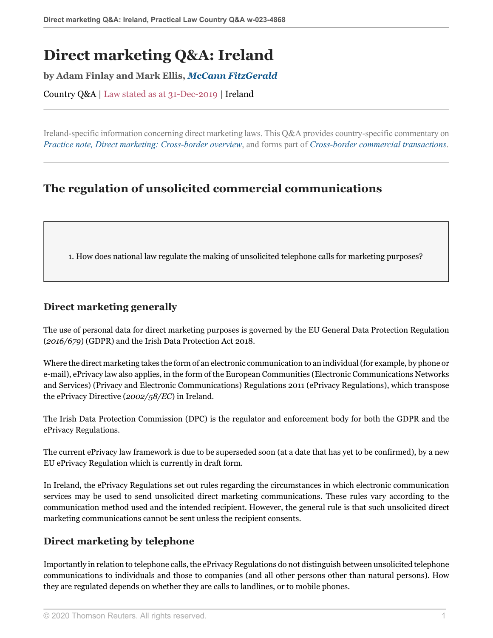# **Direct marketing Q&A: Ireland**

**by Adam Finlay and Mark Ellis,** *[McCann FitzGerald](https://uk.practicallaw.thomsonreuters.com/Browse/Home/About/Contributor/McCannFitzGerald )*

Country Q&A | Law stated as at 31-Dec-2019 | Ireland

Ireland-specific information concerning direct marketing laws. This Q&A provides country-specific commentary on *[Practice note, Direct marketing: Cross-border overview](http://uk.practicallaw.thomsonreuters.com/8-107-4312?originationContext=document&vr=3.0&rs=PLUK1.0&transitionType=DocumentItem&contextData=(sc.Default))*, and forms part of *[Cross-border commercial transactions](https://uk.practicallaw.thomsonreuters.com/Browse/Home/International/Crossbordercommercialtransactions )*.

## **The regulation of unsolicited commercial communications**

<span id="page-0-0"></span>1. How does national law regulate the making of unsolicited telephone calls for marketing purposes?

### **Direct marketing generally**

The use of personal data for direct marketing purposes is governed by the EU General Data Protection Regulation (*2016/679*) (GDPR) and the Irish Data Protection Act 2018.

Where the direct marketing takes the form of an electronic communication to an individual (for example, by phone or e-mail), ePrivacy law also applies, in the form of the European Communities (Electronic Communications Networks and Services) (Privacy and Electronic Communications) Regulations 2011 (ePrivacy Regulations), which transpose the ePrivacy Directive (*2002/58/EC*) in Ireland.

The Irish Data Protection Commission (DPC) is the regulator and enforcement body for both the GDPR and the ePrivacy Regulations.

The current ePrivacy law framework is due to be superseded soon (at a date that has yet to be confirmed), by a new EU ePrivacy Regulation which is currently in draft form.

In Ireland, the ePrivacy Regulations set out rules regarding the circumstances in which electronic communication services may be used to send unsolicited direct marketing communications. These rules vary according to the communication method used and the intended recipient. However, the general rule is that such unsolicited direct marketing communications cannot be sent unless the recipient consents.

#### **Direct marketing by telephone**

Importantly in relation to telephone calls, the ePrivacy Regulations do not distinguish between unsolicited telephone communications to individuals and those to companies (and all other persons other than natural persons). How they are regulated depends on whether they are calls to landlines, or to mobile phones.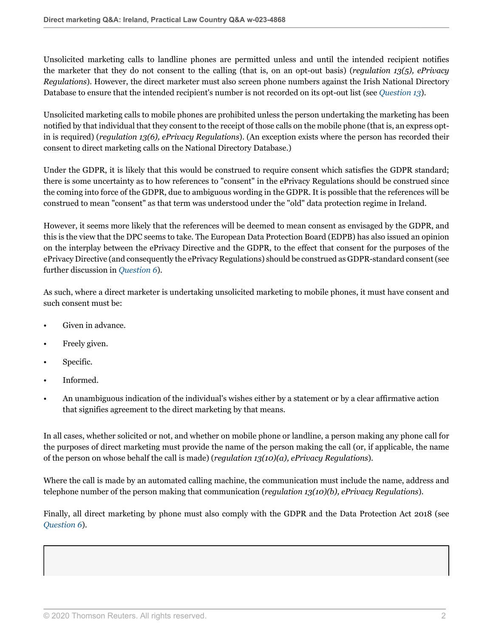Unsolicited marketing calls to landline phones are permitted unless and until the intended recipient notifies the marketer that they do not consent to the calling (that is, on an opt-out basis) (*regulation 13(5), ePrivacy Regulations*). However, the direct marketer must also screen phone numbers against the Irish National Directory Database to ensure that the intended recipient's number is not recorded on its opt-out list (see *[Question 13](#page-10-0)*).

Unsolicited marketing calls to mobile phones are prohibited unless the person undertaking the marketing has been notified by that individual that they consent to the receipt of those calls on the mobile phone (that is, an express optin is required) (*regulation 13(6), ePrivacy Regulations*). (An exception exists where the person has recorded their consent to direct marketing calls on the National Directory Database.)

Under the GDPR, it is likely that this would be construed to require consent which satisfies the GDPR standard; there is some uncertainty as to how references to "consent" in the ePrivacy Regulations should be construed since the coming into force of the GDPR, due to ambiguous wording in the GDPR. It is possible that the references will be construed to mean "consent" as that term was understood under the "old" data protection regime in Ireland.

However, it seems more likely that the references will be deemed to mean consent as envisaged by the GDPR, and this is the view that the DPC seems to take. The European Data Protection Board (EDPB) has also issued an opinion on the interplay between the ePrivacy Directive and the GDPR, to the effect that consent for the purposes of the ePrivacy Directive (and consequently the ePrivacy Regulations) should be construed as GDPR-standard consent (see further discussion in *[Question 6](#page-4-0)*).

As such, where a direct marketer is undertaking unsolicited marketing to mobile phones, it must have consent and such consent must be:

- Given in advance.
- Freely given.
- Specific.
- Informed.
- An unambiguous indication of the individual's wishes either by a statement or by a clear affirmative action that signifies agreement to the direct marketing by that means.

In all cases, whether solicited or not, and whether on mobile phone or landline, a person making any phone call for the purposes of direct marketing must provide the name of the person making the call (or, if applicable, the name of the person on whose behalf the call is made) (*regulation 13(10)(a), ePrivacy Regulations*).

Where the call is made by an automated calling machine, the communication must include the name, address and telephone number of the person making that communication (*regulation 13(10)(b), ePrivacy Regulations*).

Finally, all direct marketing by phone must also comply with the GDPR and the Data Protection Act 2018 (see *[Question 6](#page-4-0)*).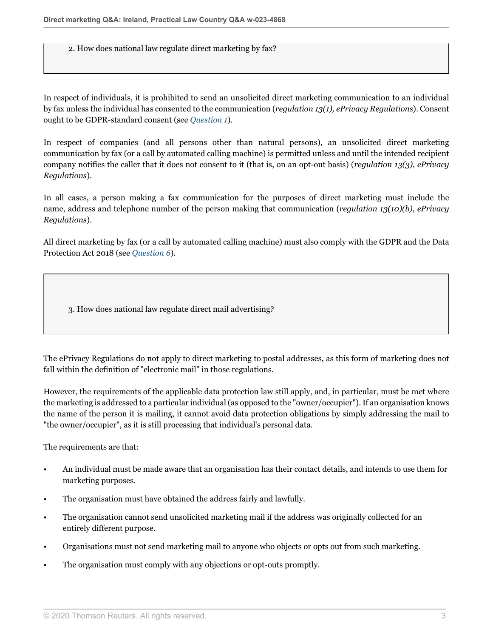2. How does national law regulate direct marketing by fax?

In respect of individuals, it is prohibited to send an unsolicited direct marketing communication to an individual by fax unless the individual has consented to the communication (*regulation 13(1), ePrivacy Regulations*). Consent ought to be GDPR-standard consent (see *[Question 1](#page-0-0)*).

In respect of companies (and all persons other than natural persons), an unsolicited direct marketing communication by fax (or a call by automated calling machine) is permitted unless and until the intended recipient company notifies the caller that it does not consent to it (that is, on an opt-out basis) (*regulation 13(3), ePrivacy Regulations*).

In all cases, a person making a fax communication for the purposes of direct marketing must include the name, address and telephone number of the person making that communication (*regulation 13(10)(b), ePrivacy Regulations*).

All direct marketing by fax (or a call by automated calling machine) must also comply with the GDPR and the Data Protection Act 2018 (see *[Question 6](#page-4-0)*).

3. How does national law regulate direct mail advertising?

The ePrivacy Regulations do not apply to direct marketing to postal addresses, as this form of marketing does not fall within the definition of "electronic mail" in those regulations.

However, the requirements of the applicable data protection law still apply, and, in particular, must be met where the marketing is addressed to a particular individual (as opposed to the "owner/occupier"). If an organisation knows the name of the person it is mailing, it cannot avoid data protection obligations by simply addressing the mail to "the owner/occupier", as it is still processing that individual's personal data.

The requirements are that:

- An individual must be made aware that an organisation has their contact details, and intends to use them for marketing purposes.
- The organisation must have obtained the address fairly and lawfully.
- The organisation cannot send unsolicited marketing mail if the address was originally collected for an entirely different purpose.
- Organisations must not send marketing mail to anyone who objects or opts out from such marketing.
- The organisation must comply with any objections or opt-outs promptly.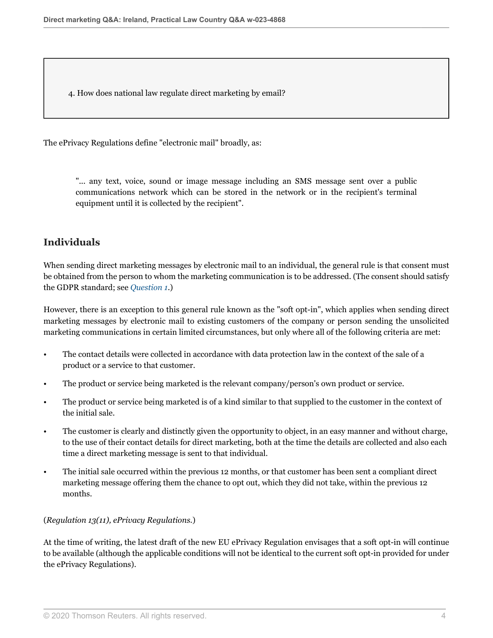<span id="page-3-0"></span>4. How does national law regulate direct marketing by email?

The ePrivacy Regulations define "electronic mail" broadly, as:

"... any text, voice, sound or image message including an SMS message sent over a public communications network which can be stored in the network or in the recipient's terminal equipment until it is collected by the recipient".

#### **Individuals**

When sending direct marketing messages by electronic mail to an individual, the general rule is that consent must be obtained from the person to whom the marketing communication is to be addressed. (The consent should satisfy the GDPR standard; see *[Question 1](#page-0-0)*.)

However, there is an exception to this general rule known as the "soft opt-in", which applies when sending direct marketing messages by electronic mail to existing customers of the company or person sending the unsolicited marketing communications in certain limited circumstances, but only where all of the following criteria are met:

- The contact details were collected in accordance with data protection law in the context of the sale of a product or a service to that customer.
- The product or service being marketed is the relevant company/person's own product or service.
- The product or service being marketed is of a kind similar to that supplied to the customer in the context of the initial sale.
- The customer is clearly and distinctly given the opportunity to object, in an easy manner and without charge, to the use of their contact details for direct marketing, both at the time the details are collected and also each time a direct marketing message is sent to that individual.
- The initial sale occurred within the previous 12 months, or that customer has been sent a compliant direct marketing message offering them the chance to opt out, which they did not take, within the previous 12 months.

#### (*Regulation 13(11), ePrivacy Regulations.*)

At the time of writing, the latest draft of the new EU ePrivacy Regulation envisages that a soft opt-in will continue to be available (although the applicable conditions will not be identical to the current soft opt-in provided for under the ePrivacy Regulations).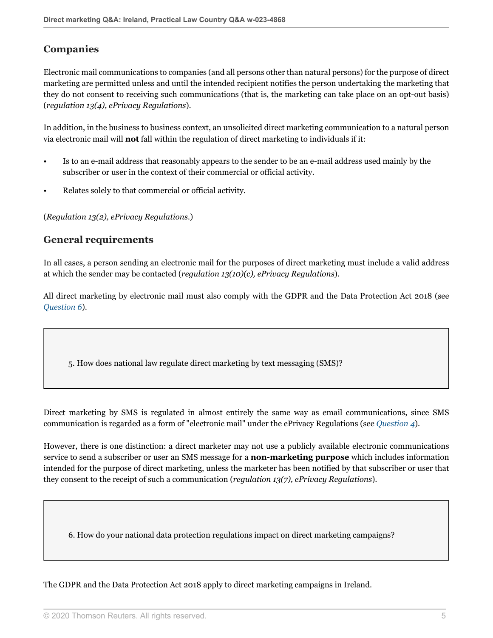### **Companies**

Electronic mail communications to companies (and all persons other than natural persons) for the purpose of direct marketing are permitted unless and until the intended recipient notifies the person undertaking the marketing that they do not consent to receiving such communications (that is, the marketing can take place on an opt-out basis) (*regulation 13(4), ePrivacy Regulations*).

In addition, in the business to business context, an unsolicited direct marketing communication to a natural person via electronic mail will **not** fall within the regulation of direct marketing to individuals if it:

- Is to an e-mail address that reasonably appears to the sender to be an e-mail address used mainly by the subscriber or user in the context of their commercial or official activity.
- Relates solely to that commercial or official activity.

(*Regulation 13(2), ePrivacy Regulations.*)

#### **General requirements**

In all cases, a person sending an electronic mail for the purposes of direct marketing must include a valid address at which the sender may be contacted (*regulation 13(10)(c), ePrivacy Regulations*).

All direct marketing by electronic mail must also comply with the GDPR and the Data Protection Act 2018 (see *[Question 6](#page-4-0)*).

5. How does national law regulate direct marketing by text messaging (SMS)?

Direct marketing by SMS is regulated in almost entirely the same way as email communications, since SMS communication is regarded as a form of "electronic mail" under the ePrivacy Regulations (see *[Question 4](#page-3-0)*).

However, there is one distinction: a direct marketer may not use a publicly available electronic communications service to send a subscriber or user an SMS message for a **non-marketing purpose** which includes information intended for the purpose of direct marketing, unless the marketer has been notified by that subscriber or user that they consent to the receipt of such a communication (*regulation 13(7), ePrivacy Regulations*).

<span id="page-4-0"></span>6. How do your national data protection regulations impact on direct marketing campaigns?

The GDPR and the Data Protection Act 2018 apply to direct marketing campaigns in Ireland.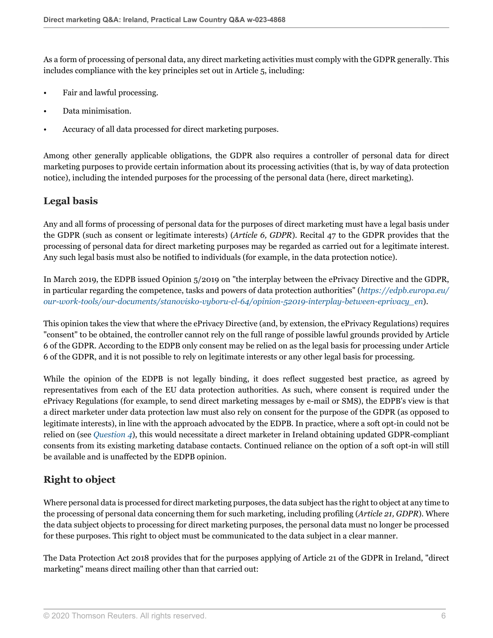As a form of processing of personal data, any direct marketing activities must comply with the GDPR generally. This includes compliance with the key principles set out in Article 5, including:

- Fair and lawful processing.
- Data minimisation.
- Accuracy of all data processed for direct marketing purposes.

Among other generally applicable obligations, the GDPR also requires a controller of personal data for direct marketing purposes to provide certain information about its processing activities (that is, by way of data protection notice), including the intended purposes for the processing of the personal data (here, direct marketing).

#### **Legal basis**

Any and all forms of processing of personal data for the purposes of direct marketing must have a legal basis under the GDPR (such as consent or legitimate interests) (*Article 6, GDPR*). Recital 47 to the GDPR provides that the processing of personal data for direct marketing purposes may be regarded as carried out for a legitimate interest. Any such legal basis must also be notified to individuals (for example, in the data protection notice).

In March 2019, the EDPB issued Opinion 5/2019 on "the interplay between the ePrivacy Directive and the GDPR, in particular regarding the competence, tasks and powers of data protection authorities" (*[https://edpb.europa.eu/](https://edpb.europa.eu/our-work-tools/our-documents/stanovisko-vyboru-cl-64/opinion-52019-interplay-between-eprivacy_en ) [our-work-tools/our-documents/stanovisko-vyboru-cl-64/opinion-52019-interplay-between-eprivacy\\_en](https://edpb.europa.eu/our-work-tools/our-documents/stanovisko-vyboru-cl-64/opinion-52019-interplay-between-eprivacy_en )*).

This opinion takes the view that where the ePrivacy Directive (and, by extension, the ePrivacy Regulations) requires "consent" to be obtained, the controller cannot rely on the full range of possible lawful grounds provided by Article 6 of the GDPR. According to the EDPB only consent may be relied on as the legal basis for processing under Article 6 of the GDPR, and it is not possible to rely on legitimate interests or any other legal basis for processing.

While the opinion of the EDPB is not legally binding, it does reflect suggested best practice, as agreed by representatives from each of the EU data protection authorities. As such, where consent is required under the ePrivacy Regulations (for example, to send direct marketing messages by e-mail or SMS), the EDPB's view is that a direct marketer under data protection law must also rely on consent for the purpose of the GDPR (as opposed to legitimate interests), in line with the approach advocated by the EDPB. In practice, where a soft opt-in could not be relied on (see *[Question 4](#page-3-0)*), this would necessitate a direct marketer in Ireland obtaining updated GDPR-compliant consents from its existing marketing database contacts. Continued reliance on the option of a soft opt-in will still be available and is unaffected by the EDPB opinion.

## **Right to object**

Where personal data is processed for direct marketing purposes, the data subject has the right to object at any time to the processing of personal data concerning them for such marketing, including profiling (*Article 21, GDPR*). Where the data subject objects to processing for direct marketing purposes, the personal data must no longer be processed for these purposes. This right to object must be communicated to the data subject in a clear manner.

The Data Protection Act 2018 provides that for the purposes applying of Article 21 of the GDPR in Ireland, "direct marketing" means direct mailing other than that carried out: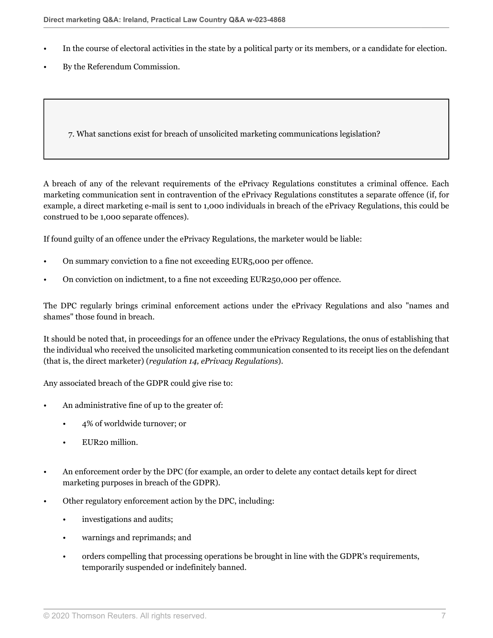- In the course of electoral activities in the state by a political party or its members, or a candidate for election.
- By the Referendum Commission.

7. What sanctions exist for breach of unsolicited marketing communications legislation?

A breach of any of the relevant requirements of the ePrivacy Regulations constitutes a criminal offence. Each marketing communication sent in contravention of the ePrivacy Regulations constitutes a separate offence (if, for example, a direct marketing e-mail is sent to 1,000 individuals in breach of the ePrivacy Regulations, this could be construed to be 1,000 separate offences).

If found guilty of an offence under the ePrivacy Regulations, the marketer would be liable:

- On summary conviction to a fine not exceeding EUR5,000 per offence.
- On conviction on indictment, to a fine not exceeding EUR250,000 per offence.

The DPC regularly brings criminal enforcement actions under the ePrivacy Regulations and also "names and shames" those found in breach.

It should be noted that, in proceedings for an offence under the ePrivacy Regulations, the onus of establishing that the individual who received the unsolicited marketing communication consented to its receipt lies on the defendant (that is, the direct marketer) (*regulation 14, ePrivacy Regulations*).

Any associated breach of the GDPR could give rise to:

- An administrative fine of up to the greater of:
	- 4% of worldwide turnover; or
	- EUR<sub>20</sub> million.
- An enforcement order by the DPC (for example, an order to delete any contact details kept for direct marketing purposes in breach of the GDPR).
- Other regulatory enforcement action by the DPC, including:
	- investigations and audits;
	- warnings and reprimands; and
	- orders compelling that processing operations be brought in line with the GDPR's requirements, temporarily suspended or indefinitely banned.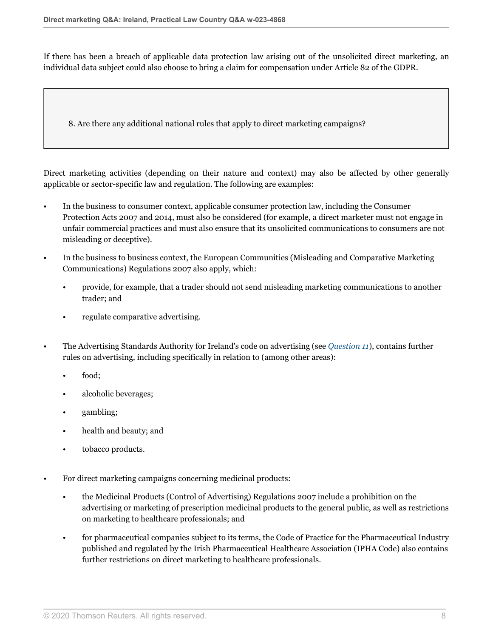If there has been a breach of applicable data protection law arising out of the unsolicited direct marketing, an individual data subject could also choose to bring a claim for compensation under Article 82 of the GDPR.

<span id="page-7-0"></span>8. Are there any additional national rules that apply to direct marketing campaigns?

Direct marketing activities (depending on their nature and context) may also be affected by other generally applicable or sector-specific law and regulation. The following are examples:

- In the business to consumer context, applicable consumer protection law, including the Consumer Protection Acts 2007 and 2014, must also be considered (for example, a direct marketer must not engage in unfair commercial practices and must also ensure that its unsolicited communications to consumers are not misleading or deceptive).
- In the business to business context, the European Communities (Misleading and Comparative Marketing Communications) Regulations 2007 also apply, which:
	- provide, for example, that a trader should not send misleading marketing communications to another trader; and
	- regulate comparative advertising.
- The Advertising Standards Authority for Ireland's code on advertising (see *[Question 11](#page-9-0)*), contains further rules on advertising, including specifically in relation to (among other areas):
	- food;
	- alcoholic beverages;
	- gambling;
	- health and beauty; and
	- tobacco products.
- For direct marketing campaigns concerning medicinal products:
	- the Medicinal Products (Control of Advertising) Regulations 2007 include a prohibition on the advertising or marketing of prescription medicinal products to the general public, as well as restrictions on marketing to healthcare professionals; and
	- for pharmaceutical companies subject to its terms, the Code of Practice for the Pharmaceutical Industry published and regulated by the Irish Pharmaceutical Healthcare Association (IPHA Code) also contains further restrictions on direct marketing to healthcare professionals.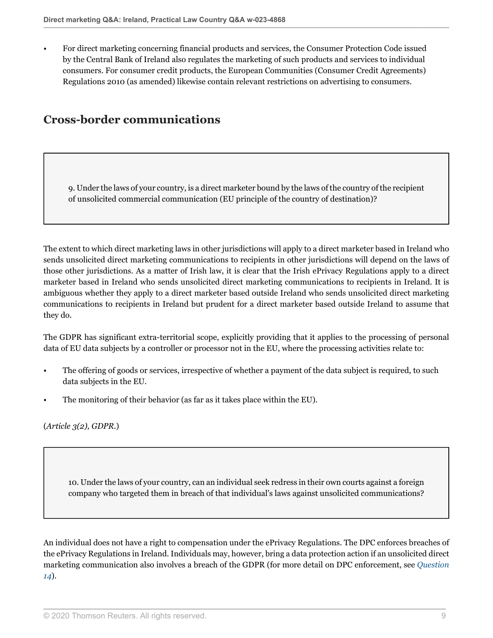• For direct marketing concerning financial products and services, the Consumer Protection Code issued by the Central Bank of Ireland also regulates the marketing of such products and services to individual consumers. For consumer credit products, the European Communities (Consumer Credit Agreements) Regulations 2010 (as amended) likewise contain relevant restrictions on advertising to consumers.

# **Cross-border communications**

9. Under the laws of your country, is a direct marketer bound by the laws of the country of the recipient of unsolicited commercial communication (EU principle of the country of destination)?

The extent to which direct marketing laws in other jurisdictions will apply to a direct marketer based in Ireland who sends unsolicited direct marketing communications to recipients in other jurisdictions will depend on the laws of those other jurisdictions. As a matter of Irish law, it is clear that the Irish ePrivacy Regulations apply to a direct marketer based in Ireland who sends unsolicited direct marketing communications to recipients in Ireland. It is ambiguous whether they apply to a direct marketer based outside Ireland who sends unsolicited direct marketing communications to recipients in Ireland but prudent for a direct marketer based outside Ireland to assume that they do.

The GDPR has significant extra-territorial scope, explicitly providing that it applies to the processing of personal data of EU data subjects by a controller or processor not in the EU, where the processing activities relate to:

- The offering of goods or services, irrespective of whether a payment of the data subject is required, to such data subjects in the EU.
- The monitoring of their behavior (as far as it takes place within the EU).

(*Article 3(2), GDPR.*)

10. Under the laws of your country, can an individual seek redress in their own courts against a foreign company who targeted them in breach of that individual's laws against unsolicited communications?

An individual does not have a right to compensation under the ePrivacy Regulations. The DPC enforces breaches of the ePrivacy Regulations in Ireland. Individuals may, however, bring a data protection action if an unsolicited direct marketing communication also involves a breach of the GDPR (for more detail on DPC enforcement, see *[Question](#page-11-0) [14](#page-11-0)*).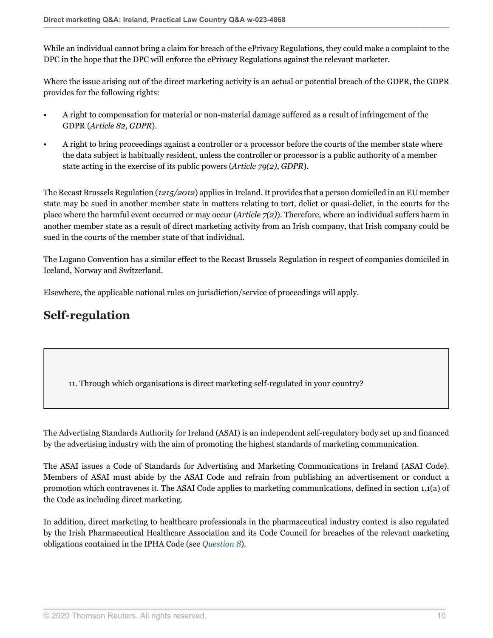While an individual cannot bring a claim for breach of the ePrivacy Regulations, they could make a complaint to the DPC in the hope that the DPC will enforce the ePrivacy Regulations against the relevant marketer.

Where the issue arising out of the direct marketing activity is an actual or potential breach of the GDPR, the GDPR provides for the following rights:

- A right to compensation for material or non-material damage suffered as a result of infringement of the GDPR (*Article 82, GDPR*).
- A right to bring proceedings against a controller or a processor before the courts of the member state where the data subject is habitually resident, unless the controller or processor is a public authority of a member state acting in the exercise of its public powers (*Article 79(2), GDPR*).

The Recast Brussels Regulation (*1215/2012*) applies in Ireland. It provides that a person domiciled in an EU member state may be sued in another member state in matters relating to tort, delict or quasi-delict, in the courts for the place where the harmful event occurred or may occur (*Article 7(2)*). Therefore, where an individual suffers harm in another member state as a result of direct marketing activity from an Irish company, that Irish company could be sued in the courts of the member state of that individual.

The Lugano Convention has a similar effect to the Recast Brussels Regulation in respect of companies domiciled in Iceland, Norway and Switzerland.

Elsewhere, the applicable national rules on jurisdiction/service of proceedings will apply.

## **Self-regulation**

<span id="page-9-0"></span>11. Through which organisations is direct marketing self-regulated in your country?

The Advertising Standards Authority for Ireland (ASAI) is an independent self-regulatory body set up and financed by the advertising industry with the aim of promoting the highest standards of marketing communication.

The ASAI issues a Code of Standards for Advertising and Marketing Communications in Ireland (ASAI Code). Members of ASAI must abide by the ASAI Code and refrain from publishing an advertisement or conduct a promotion which contravenes it. The ASAI Code applies to marketing communications, defined in section 1.1(a) of the Code as including direct marketing.

In addition, direct marketing to healthcare professionals in the pharmaceutical industry context is also regulated by the Irish Pharmaceutical Healthcare Association and its Code Council for breaches of the relevant marketing obligations contained in the IPHA Code (see *[Question 8](#page-7-0)*).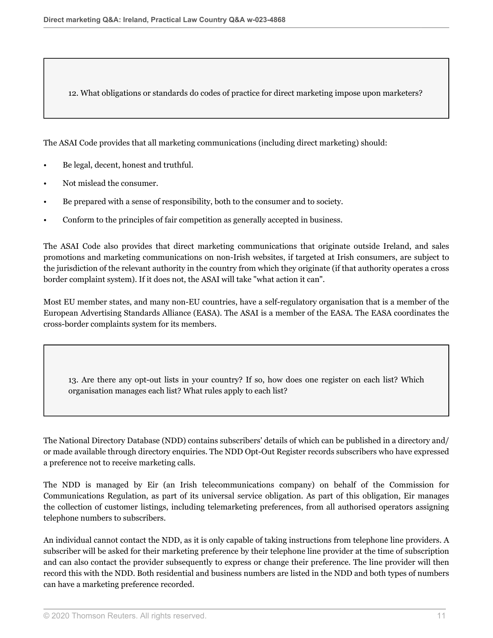12. What obligations or standards do codes of practice for direct marketing impose upon marketers?

The ASAI Code provides that all marketing communications (including direct marketing) should:

- Be legal, decent, honest and truthful.
- Not mislead the consumer.
- Be prepared with a sense of responsibility, both to the consumer and to society.
- Conform to the principles of fair competition as generally accepted in business.

The ASAI Code also provides that direct marketing communications that originate outside Ireland, and sales promotions and marketing communications on non-Irish websites, if targeted at Irish consumers, are subject to the jurisdiction of the relevant authority in the country from which they originate (if that authority operates a cross border complaint system). If it does not, the ASAI will take "what action it can".

Most EU member states, and many non-EU countries, have a self-regulatory organisation that is a member of the European Advertising Standards Alliance (EASA). The ASAI is a member of the EASA. The EASA coordinates the cross-border complaints system for its members.

<span id="page-10-0"></span>13. Are there any opt-out lists in your country? If so, how does one register on each list? Which organisation manages each list? What rules apply to each list?

The National Directory Database (NDD) contains subscribers' details of which can be published in a directory and/ or made available through directory enquiries. The NDD Opt-Out Register records subscribers who have expressed a preference not to receive marketing calls.

The NDD is managed by Eir (an Irish telecommunications company) on behalf of the Commission for Communications Regulation, as part of its universal service obligation. As part of this obligation, Eir manages the collection of customer listings, including telemarketing preferences, from all authorised operators assigning telephone numbers to subscribers.

An individual cannot contact the NDD, as it is only capable of taking instructions from telephone line providers. A subscriber will be asked for their marketing preference by their telephone line provider at the time of subscription and can also contact the provider subsequently to express or change their preference. The line provider will then record this with the NDD. Both residential and business numbers are listed in the NDD and both types of numbers can have a marketing preference recorded.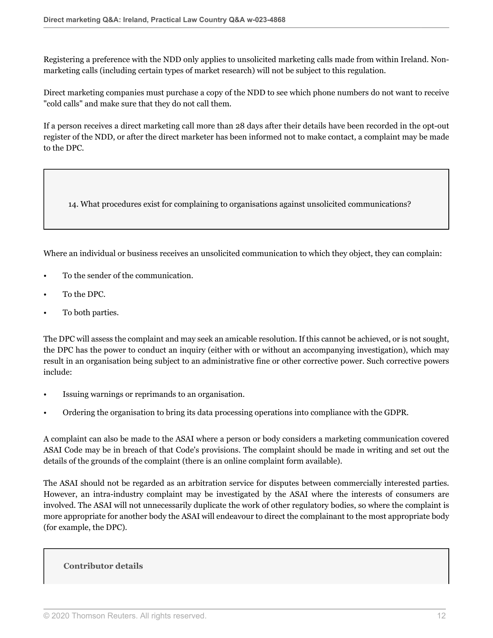Registering a preference with the NDD only applies to unsolicited marketing calls made from within Ireland. Nonmarketing calls (including certain types of market research) will not be subject to this regulation.

Direct marketing companies must purchase a copy of the NDD to see which phone numbers do not want to receive "cold calls" and make sure that they do not call them.

If a person receives a direct marketing call more than 28 days after their details have been recorded in the opt-out register of the NDD, or after the direct marketer has been informed not to make contact, a complaint may be made to the DPC.

<span id="page-11-0"></span>14. What procedures exist for complaining to organisations against unsolicited communications?

Where an individual or business receives an unsolicited communication to which they object, they can complain:

- To the sender of the communication.
- To the DPC.
- To both parties.

The DPC will assess the complaint and may seek an amicable resolution. If this cannot be achieved, or is not sought, the DPC has the power to conduct an inquiry (either with or without an accompanying investigation), which may result in an organisation being subject to an administrative fine or other corrective power. Such corrective powers include:

- Issuing warnings or reprimands to an organisation.
- Ordering the organisation to bring its data processing operations into compliance with the GDPR.

A complaint can also be made to the ASAI where a person or body considers a marketing communication covered ASAI Code may be in breach of that Code's provisions. The complaint should be made in writing and set out the details of the grounds of the complaint (there is an online complaint form available).

The ASAI should not be regarded as an arbitration service for disputes between commercially interested parties. However, an intra-industry complaint may be investigated by the ASAI where the interests of consumers are involved. The ASAI will not unnecessarily duplicate the work of other regulatory bodies, so where the complaint is more appropriate for another body the ASAI will endeavour to direct the complainant to the most appropriate body (for example, the DPC).

#### **Contributor details**